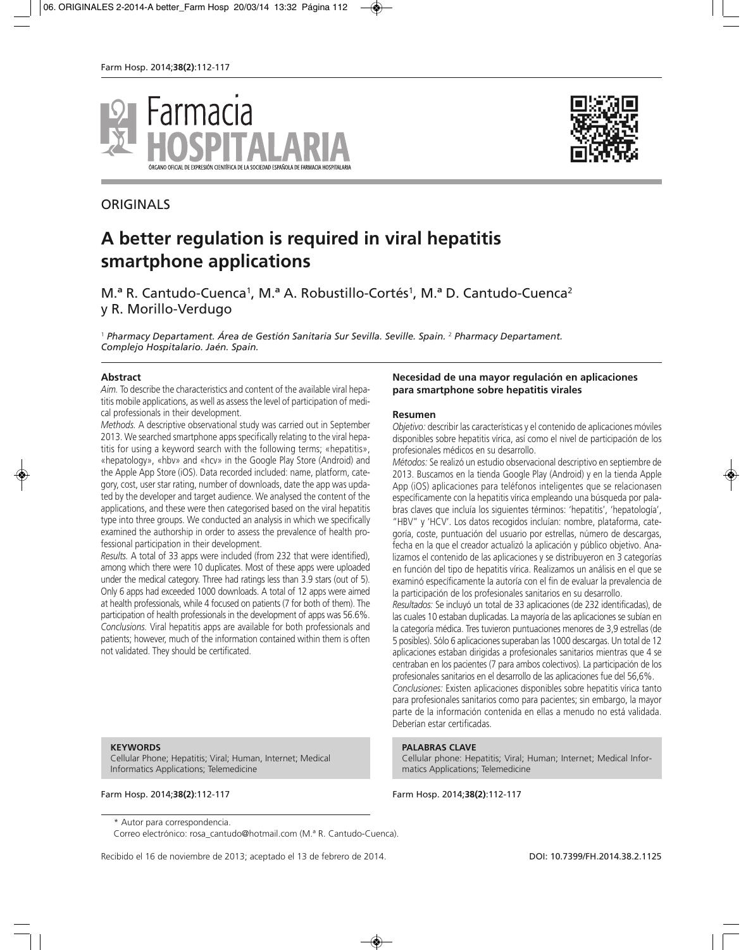



# **ORIGINALS**

# **A better regulation is required in viral hepatitis smartphone applications**

M.<sup>ª</sup> R. Cantudo-Cuenca<sup>1</sup>, M.<sup>ª</sup> A. Robustillo-Cortés<sup>1</sup>, M.<sup>ª</sup> D. Cantudo-Cuenca<sup>2</sup> y R. Morillo-Verdugo

<sup>1</sup> *Pharmacy Departament. Área de Gestión Sanitaria Sur Sevilla. Seville. Spain.* <sup>2</sup> *Pharmacy Departament. Complejo Hospitalario. Jaén. Spain.*

#### **Abstract**

*Aim.* To describe the characteristics and content of the available viral hepatitis mobile applications, as well as assess the level of participation of medical professionals in their development.

*Methods.* A descriptive observational study was carried out in September 2013. We searched smartphone apps specifically relating to the viral hepatitis for using a keyword search with the following terms; «hepatitis», «hepatology», «hbv» and «hcv» in the Google Play Store (Android) and the Apple App Store (iOS). Data recorded included: name, platform, category, cost, user star rating, number of downloads, date the app was updated by the developer and target audience. We analysed the content of the applications, and these were then categorised based on the viral hepatitis type into three groups. We conducted an analysis in which we specifically examined the authorship in order to assess the prevalence of health professional participation in their development.

*Results.* A total of 33 apps were included (from 232 that were identified), among which there were 10 duplicates. Most of these apps were uploaded under the medical category. Three had ratings less than 3.9 stars (out of 5). Only 6 apps had exceeded 1000 downloads. A total of 12 apps were aimed at health professionals, while 4 focused on patients (7 for both of them). The participation of health professionals in the development of apps was 56.6%. *Conclusions.* Viral hepatitis apps are available for both professionals and patients; however, much of the information contained within them is often not validated. They should be certificated.

### **Necesidad de una mayor regulación en aplicaciones para smartphone sobre hepatitis virales**

#### **Resumen**

*Objetivo:* describir las características y el contenido de aplicaciones móviles disponibles sobre hepatitis vírica, así como el nivel de participación de los profesionales médicos en su desarrollo.

*Métodos:* Se realizó un estudio observacional descriptivo en septiembre de 2013. Buscamos en la tienda Google Play (Android) y en la tienda Apple App (iOS) aplicaciones para teléfonos inteligentes que se relacionasen específicamente con la hepatitis vírica empleando una búsqueda por palabras claves que incluía los siguientes términos: 'hepatitis', 'hepatología', "HBV" y 'HCV'. Los datos recogidos incluían: nombre, plataforma, categoría, coste, puntuación del usuario por estrellas, número de descargas, fecha en la que el creador actualizó la aplicación y público objetivo. Analizamos el contenido de las aplicaciones y se distribuyeron en 3 categorías en función del tipo de hepatitis vírica. Realizamos un análisis en el que se examinó específicamente la autoría con el fin de evaluar la prevalencia de la participación de los profesionales sanitarios en su desarrollo.

*Resultados:* Se incluyó un total de 33 aplicaciones (de 232 identificadas), de las cuales 10 estaban duplicadas. La mayoría de las aplicaciones se subían en la categoría médica. Tres tuvieron puntuaciones menores de 3,9 estrellas (de 5 posibles). Sólo 6 aplicaciones superaban las 1000 descargas. Un total de 12 aplicaciones estaban dirigidas a profesionales sanitarios mientras que 4 se centraban en los pacientes (7 para ambos colectivos). La participación de los profesionales sanitarios en el desarrollo de las aplicaciones fue del 56,6%. *Conclusiones:* Existen aplicaciones disponibles sobre hepatitis vírica tanto para profesionales sanitarios como para pacientes; sin embargo, la mayor parte de la información contenida en ellas a menudo no está validada. Deberían estar certificadas.

#### **PALABRAS CLAVE**

Cellular phone: Hepatitis; Viral; Human; Internet; Medical Informatics Applications; Telemedicine

Farm Hosp. 2014;**38(2)**:112-117 Farm Hosp. 2014;**38(2)**:112-117

#### **KEYWORDS**

Cellular Phone; Hepatitis; Viral; Human, Internet; Medical Informatics Applications; Telemedicine

Correo electrónico: rosa\_cantudo@hotmail.com (M.ª R. Cantudo-Cuenca).

Recibido el 16 de noviembre de 2013; aceptado el 13 de febrero de 2014. **DOI: 10.7399/FH.2014.38.2.1125** 

<sup>\*</sup> Autor para correspondencia.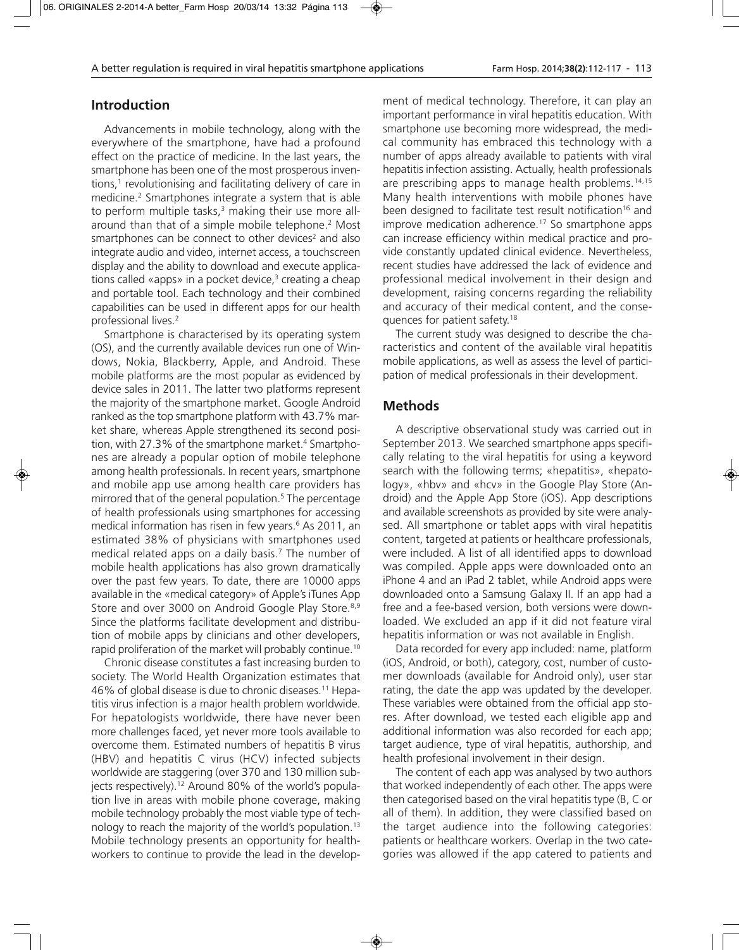### **Introduction**

Advancements in mobile technology, along with the everywhere of the smartphone, have had a profound effect on the practice of medicine. In the last years, the smartphone has been one of the most prosperous inventions, $<sup>1</sup>$  revolutionising and facilitating delivery of care in</sup> medicine.2 Smartphones integrate a system that is able to perform multiple tasks,<sup>3</sup> making their use more allaround than that of a simple mobile telephone.<sup>2</sup> Most smartphones can be connect to other devices<sup>2</sup> and also integrate audio and video, internet access, a touchscreen display and the ability to download and execute applications called «apps» in a pocket device, $3$  creating a cheap and portable tool. Each technology and their combined capabilities can be used in different apps for our health professional lives.<sup>2</sup>

Smartphone is characterised by its operating system (OS), and the currently available devices run one of Windows, Nokia, Blackberry, Apple, and Android. These mobile platforms are the most popular as evidenced by device sales in 2011. The latter two platforms represent the majority of the smartphone market. Google Android ranked as the top smartphone platform with 43.7% market share, whereas Apple strengthened its second position, with 27.3% of the smartphone market.<sup>4</sup> Smartphones are already a popular option of mobile telephone among health professionals. In recent years, smartphone and mobile app use among health care providers has mirrored that of the general population.<sup>5</sup> The percentage of health professionals using smartphones for accessing medical information has risen in few years.<sup>6</sup> As 2011, an estimated 38% of physicians with smartphones used medical related apps on a daily basis.7 The number of mobile health applications has also grown dramatically over the past few years. To date, there are 10000 apps available in the «medical category» of Apple's iTunes App Store and over 3000 on Android Google Play Store.<sup>8,9</sup> Since the platforms facilitate development and distribution of mobile apps by clinicians and other developers, rapid proliferation of the market will probably continue.10

Chronic disease constitutes a fast increasing burden to society. The World Health Organization estimates that 46% of global disease is due to chronic diseases.11 Hepatitis virus infection is a major health problem worldwide. For hepatologists worldwide, there have never been more challenges faced, yet never more tools available to overcome them. Estimated numbers of hepatitis B virus (HBV) and hepatitis C virus (HCV) infected subjects worldwide are staggering (over 370 and 130 million subjects respectively).<sup>12</sup> Around 80% of the world's population live in areas with mobile phone coverage, making mobile technology probably the most viable type of technology to reach the majority of the world's population.13 Mobile technology presents an opportunity for healthworkers to continue to provide the lead in the development of medical technology. Therefore, it can play an important performance in viral hepatitis education. With smartphone use becoming more widespread, the medical community has embraced this technology with a number of apps already available to patients with viral hepatitis infection assisting. Actually, health professionals are prescribing apps to manage health problems.<sup>14,15</sup> Many health interventions with mobile phones have been designed to facilitate test result notification<sup>16</sup> and improve medication adherence.<sup>17</sup> So smartphone apps can increase efficiency within medical practice and provide constantly updated clinical evidence. Nevertheless, recent studies have addressed the lack of evidence and professional medical involvement in their design and development, raising concerns regarding the reliability and accuracy of their medical content, and the consequences for patient safety.18

The current study was designed to describe the characteristics and content of the available viral hepatitis mobile applications, as well as assess the level of participation of medical professionals in their development.

### **Methods**

A descriptive observational study was carried out in September 2013. We searched smartphone apps specifically relating to the viral hepatitis for using a keyword search with the following terms; «hepatitis», «hepatology», «hbv» and «hcv» in the Google Play Store (Android) and the Apple App Store (iOS). App descriptions and available screenshots as provided by site were analysed. All smartphone or tablet apps with viral hepatitis content, targeted at patients or healthcare professionals, were included. A list of all identified apps to download was compiled. Apple apps were downloaded onto an iPhone 4 and an iPad 2 tablet, while Android apps were downloaded onto a Samsung Galaxy II. If an app had a free and a fee-based version, both versions were downloaded. We excluded an app if it did not feature viral hepatitis information or was not available in English.

Data recorded for every app included: name, platform (iOS, Android, or both), category, cost, number of customer downloads (available for Android only), user star rating, the date the app was updated by the developer. These variables were obtained from the official app stores. After download, we tested each eligible app and additional information was also recorded for each app; target audience, type of viral hepatitis, authorship, and health profesional involvement in their design.

The content of each app was analysed by two authors that worked independently of each other. The apps were then categorised based on the viral hepatitis type (B, C or all of them). In addition, they were classified based on the target audience into the following categories: patients or healthcare workers. Overlap in the two categories was allowed if the app catered to patients and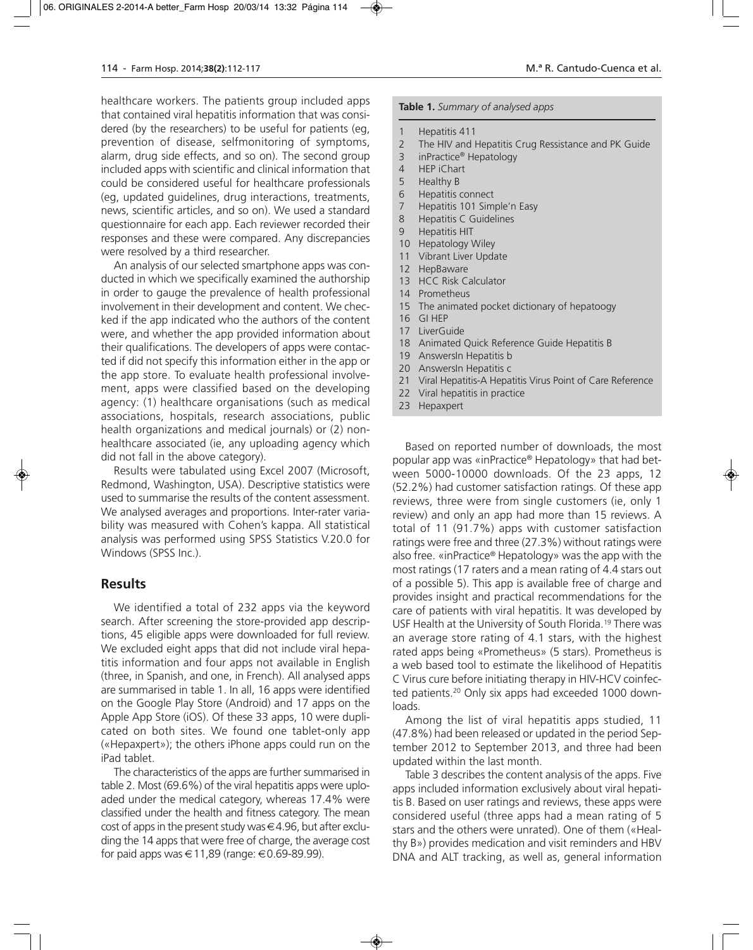healthcare workers. The patients group included apps that contained viral hepatitis information that was considered (by the researchers) to be useful for patients (eg, prevention of disease, selfmonitoring of symptoms, alarm, drug side effects, and so on). The second group included apps with scientific and clinical information that could be considered useful for healthcare professionals (eg, updated guidelines, drug interactions, treatments, news, scientific articles, and so on). We used a standard questionnaire for each app. Each reviewer recorded their responses and these were compared. Any discrepancies were resolved by a third researcher.

An analysis of our selected smartphone apps was conducted in which we specifically examined the authorship in order to gauge the prevalence of health professional involvement in their development and content. We checked if the app indicated who the authors of the content were, and whether the app provided information about their qualifications. The developers of apps were contacted if did not specify this information either in the app or the app store. To evaluate health professional involvement, apps were classified based on the developing agency: (1) healthcare organisations (such as medical associations, hospitals, research associations, public health organizations and medical journals) or (2) nonhealthcare associated (ie, any uploading agency which did not fall in the above category).

Results were tabulated using Excel 2007 (Microsoft, Redmond, Washington, USA). Descriptive statistics were used to summarise the results of the content assessment. We analysed averages and proportions. Inter-rater variability was measured with Cohen's kappa. All statistical analysis was performed using SPSS Statistics V.20.0 for Windows (SPSS Inc.).

### **Results**

We identified a total of 232 apps via the keyword search. After screening the store-provided app descriptions, 45 eligible apps were downloaded for full review. We excluded eight apps that did not include viral hepatitis information and four apps not available in English (three, in Spanish, and one, in French). All analysed apps are summarised in table 1. In all, 16 apps were identified on the Google Play Store (Android) and 17 apps on the Apple App Store (iOS). Of these 33 apps, 10 were duplicated on both sites. We found one tablet-only app («Hepaxpert»); the others iPhone apps could run on the iPad tablet.

The characteristics of the apps are further summarised in table 2. Most (69.6%) of the viral hepatitis apps were uploaded under the medical category, whereas 17.4% were classified under the health and fitness category. The mean cost of apps in the present study was  $\in$  4.96, but after excluding the 14 apps that were free of charge, the average cost for paid apps was  $\in$  11,89 (range:  $\in$  0.69-89.99).

### **Table 1.** *Summary of analysed apps*

- 1 Hepatitis 411
- 2 The HIV and Hepatitis Crug Ressistance and PK Guide
- 3 inPractice® Hepatology
- 4 HEP iChart
- 5 Healthy B
- 6 Hepatitis connect
- 7 Hepatitis 101 Simple'n Easy
- 8 Hepatitis C Guidelines
- 9 Hepatitis HIT
- 10 Hepatology Wiley
- 11 Vibrant Liver Update
- 12 HepBaware
- 13 HCC Risk Calculator
- 14 Prometheus
- 15 The animated pocket dictionary of hepatoogy
- 16 GI HEP
- 17 LiverGuide
- 18 Animated Quick Reference Guide Hepatitis B
- 19 AnswersIn Hepatitis b
- 20 AnswersIn Hepatitis c
- 21 Viral Hepatitis-A Hepatitis Virus Point of Care Reference
- 22 Viral hepatitis in practice
- 23 Hepaxpert

Based on reported number of downloads, the most popular app was «inPractice® Hepatology» that had between 5000-10000 downloads. Of the 23 apps, 12 (52.2%) had customer satisfaction ratings. Of these app reviews, three were from single customers (ie, only 1 review) and only an app had more than 15 reviews. A total of 11 (91.7%) apps with customer satisfaction ratings were free and three (27.3%) without ratings were also free. «inPractice® Hepatology» was the app with the most ratings (17 raters and a mean rating of 4.4 stars out of a possible 5). This app is available free of charge and provides insight and practical recommendations for the care of patients with viral hepatitis. It was developed by USF Health at the University of South Florida.19 There was an average store rating of 4.1 stars, with the highest rated apps being «Prometheus» (5 stars). Prometheus is a web based tool to estimate the likelihood of Hepatitis C Virus cure before initiating therapy in HIV-HCV coinfected patients.20 Only six apps had exceeded 1000 downloads.

Among the list of viral hepatitis apps studied, 11 (47.8%) had been released or updated in the period September 2012 to September 2013, and three had been updated within the last month.

Table 3 describes the content analysis of the apps. Five apps included information exclusively about viral hepatitis B. Based on user ratings and reviews, these apps were considered useful (three apps had a mean rating of 5 stars and the others were unrated). One of them («Healthy B») provides medication and visit reminders and HBV DNA and ALT tracking, as well as, general information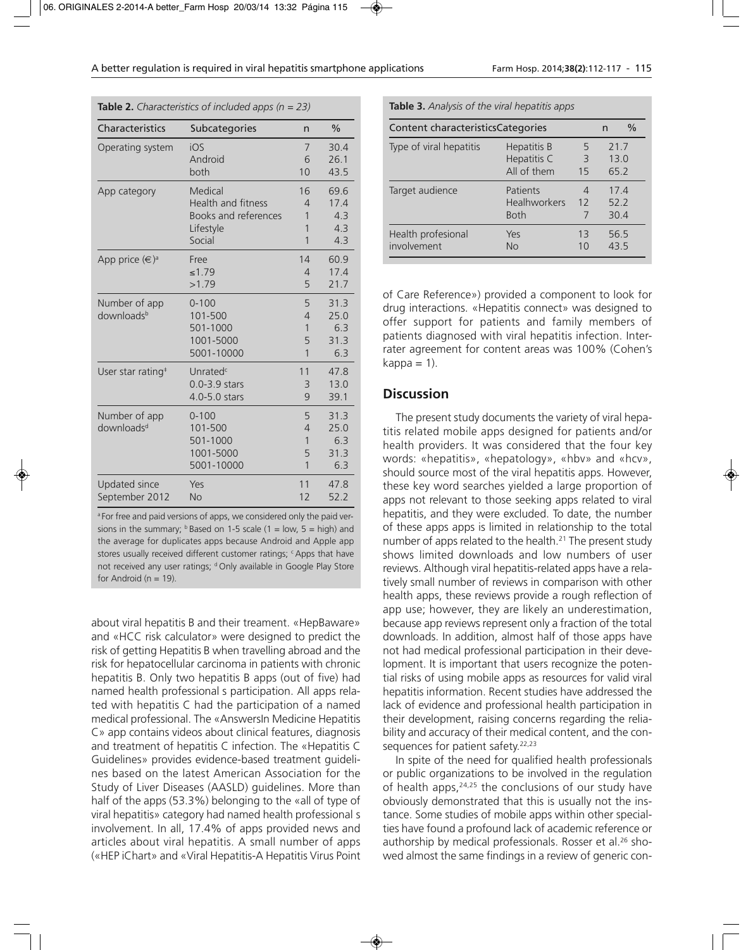**Table 2.** *Characteristics of included apps (n = 23)*

| Characteristics               | Subcategories             | n              | $\%$ |
|-------------------------------|---------------------------|----------------|------|
| Operating system              | iOS                       | 7              | 30.4 |
|                               | Android                   | 6              | 26.1 |
|                               | both                      | 10             | 43.5 |
| App category                  | Medical                   | 16             | 69.6 |
|                               | <b>Health and fitness</b> | $\overline{4}$ | 17.4 |
|                               | Books and references      | 1              | 4.3  |
|                               | Lifestyle                 | 1              | 4.3  |
|                               | Social                    | 1              | 4.3  |
| App price $(\infty)^a$        | Free                      | 14             | 60.9 |
|                               | ≤1.79                     | $\overline{4}$ | 17.4 |
|                               | >1.79                     | 5              | 21.7 |
| Number of app                 | $0 - 100$                 | 5              | 31.3 |
| downloadsb                    | 101-500                   | $\overline{4}$ | 25.0 |
|                               | 501-1000                  | $\mathbf{1}$   | 6.3  |
|                               | 1001-5000                 | 5              | 31.3 |
|                               | 5001-10000                | $\mathbf{1}$   | 6.3  |
| User star rating <sup>#</sup> | Unrated <sup>c</sup>      | 11             | 47.8 |
|                               | 0.0-3.9 stars             | 3              | 13.0 |
|                               | 4.0-5.0 stars             | 9              | 39.1 |
| Number of app                 | $0 - 100$                 | 5              | 31.3 |
| downloads <sup>d</sup>        | 101-500                   | $\overline{4}$ | 25.0 |
|                               | 501-1000                  | 1              | 6.3  |
|                               | 1001-5000                 | 5              | 31.3 |
|                               | 5001-10000                | $\mathbf{1}$   | 6.3  |
| Updated since                 | Yes                       | 11             | 47.8 |
| September 2012                | <b>No</b>                 | 12             | 52.2 |

<sup>a</sup> For free and paid versions of apps, we considered only the paid versions in the summary;  $\frac{b}{b}$  Based on 1-5 scale (1 = low, 5 = high) and the average for duplicates apps because Android and Apple app stores usually received different customer ratings; <sup>c</sup> Apps that have not received any user ratings; d Only available in Google Play Store for Android ( $n = 19$ ).

about viral hepatitis B and their treament. «HepBaware» and «HCC risk calculator» were designed to predict the risk of getting Hepatitis B when travelling abroad and the risk for hepatocellular carcinoma in patients with chronic hepatitis B. Only two hepatitis B apps (out of five) had named health professional s participation. All apps related with hepatitis C had the participation of a named medical professional. The «AnswersIn Medicine Hepatitis C» app contains videos about clinical features, diagnosis and treatment of hepatitis C infection. The «Hepatitis C Guidelines» provides evidence-based treatment guidelines based on the latest American Association for the Study of Liver Diseases (AASLD) guidelines. More than half of the apps (53.3%) belonging to the «all of type of viral hepatitis» category had named health professional s involvement. In all, 17.4% of apps provided news and articles about viral hepatitis. A small number of apps («HEP iChart» and «Viral Hepatitis-A Hepatitis Virus Point

**Table 3.** *Analysis of the viral hepatitis apps*

| Content characteristics Categories | n                                              | $\%$                 |                     |  |
|------------------------------------|------------------------------------------------|----------------------|---------------------|--|
| Type of viral hepatitis            | Hepatitis B<br>Hepatitis C<br>All of them      | 5<br>3<br>15         | 217<br>130<br>65.2  |  |
| Target audience                    | Patients<br><b>Healhworkers</b><br><b>Both</b> | 4<br>12<br>7         | 174<br>52.2<br>30.4 |  |
| Health profesional<br>involvement  | Yes<br><b>No</b>                               | 13<br>1 <sub>0</sub> | 56.5<br>435         |  |

of Care Reference») provided a component to look for drug interactions. «Hepatitis connect» was designed to offer support for patients and family members of patients diagnosed with viral hepatitis infection. Interrater agreement for content areas was 100% (Cohen's  $kappa = 1$ ).

### **Discussion**

The present study documents the variety of viral hepatitis related mobile apps designed for patients and/or health providers. It was considered that the four key words: «hepatitis», «hepatology», «hbv» and «hcv», should source most of the viral hepatitis apps. However, these key word searches yielded a large proportion of apps not relevant to those seeking apps related to viral hepatitis, and they were excluded. To date, the number of these apps apps is limited in relationship to the total number of apps related to the health.<sup>21</sup> The present study shows limited downloads and low numbers of user reviews. Although viral hepatitis-related apps have a relatively small number of reviews in comparison with other health apps, these reviews provide a rough reflection of app use; however, they are likely an underestimation, because app reviews represent only a fraction of the total downloads. In addition, almost half of those apps have not had medical professional participation in their development. It is important that users recognize the potential risks of using mobile apps as resources for valid viral hepatitis information. Recent studies have addressed the lack of evidence and professional health participation in their development, raising concerns regarding the reliability and accuracy of their medical content, and the consequences for patient safety.<sup>22,23</sup>

In spite of the need for qualified health professionals or public organizations to be involved in the regulation of health apps,<sup>24,25</sup> the conclusions of our study have obviously demonstrated that this is usually not the instance. Some studies of mobile apps within other specialties have found a profound lack of academic reference or authorship by medical professionals. Rosser et al.<sup>26</sup> showed almost the same findings in a review of generic con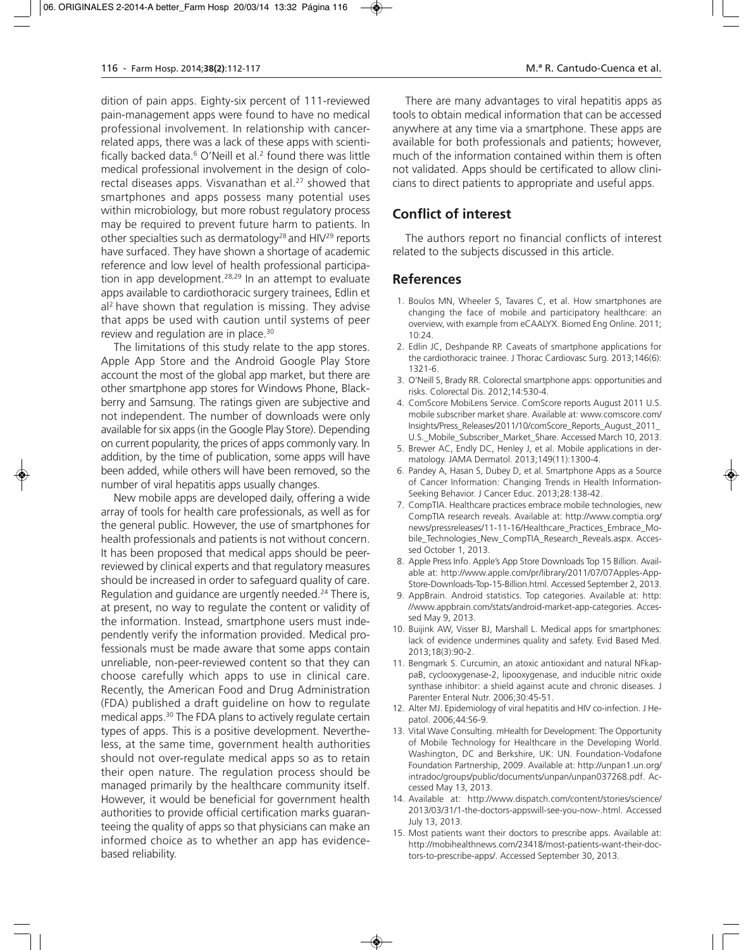dition of pain apps. Eighty-six percent of 111-reviewed pain-management apps were found to have no medical professional involvement. In relationship with cancerrelated apps, there was a lack of these apps with scientifically backed data. $6$  O'Neill et al. $2$  found there was little medical professional involvement in the design of colorectal diseases apps. Visvanathan et al.<sup>27</sup> showed that smartphones and apps possess many potential uses within microbiology, but more robust regulatory process may be required to prevent future harm to patients. In other specialties such as dermatology<sup>28</sup> and  $H/V^{29}$  reports have surfaced. They have shown a shortage of academic reference and low level of health professional participation in app development.<sup>28,29</sup> In an attempt to evaluate apps available to cardiothoracic surgery trainees, Edlin et al<sup>2</sup> have shown that regulation is missing. They advise that apps be used with caution until systems of peer review and regulation are in place.<sup>30</sup>

The limitations of this study relate to the app stores. Apple App Store and the Android Google Play Store account the most of the global app market, but there are other smartphone app stores for Windows Phone, Blackberry and Samsung. The ratings given are subjective and not independent. The number of downloads were only available for six apps (in the Google Play Store). Depending on current popularity, the prices of apps commonly vary. In addition, by the time of publication, some apps will have been added, while others will have been removed, so the number of viral hepatitis apps usually changes.

New mobile apps are developed daily, offering a wide array of tools for health care professionals, as well as for the general public. However, the use of smartphones for health professionals and patients is not without concern. It has been proposed that medical apps should be peerreviewed by clinical experts and that regulatory measures should be increased in order to safeguard quality of care. Regulation and guidance are urgently needed.<sup>24</sup> There is, at present, no way to regulate the content or validity of the information. Instead, smartphone users must independently verify the information provided. Medical professionals must be made aware that some apps contain unreliable, non-peer-reviewed content so that they can choose carefully which apps to use in clinical care. Recently, the American Food and Drug Administration (FDA) published a draft guideline on how to regulate medical apps.30 The FDA plans to actively regulate certain types of apps. This is a positive development. Nevertheless, at the same time, government health authorities should not over-regulate medical apps so as to retain their open nature. The regulation process should be managed primarily by the healthcare community itself. However, it would be beneficial for government health authorities to provide official certification marks guaranteeing the quality of apps so that physicians can make an informed choice as to whether an app has evidencebased reliability.

There are many advantages to viral hepatitis apps as tools to obtain medical information that can be accessed anywhere at any time via a smartphone. These apps are available for both professionals and patients; however, much of the information contained within them is often not validated. Apps should be certificated to allow clinicians to direct patients to appropriate and useful apps.

# **Conflict of interest**

The authors report no financial conflicts of interest related to the subjects discussed in this article.

### **References**

- 1. Boulos MN, Wheeler S, Tavares C, et al. How smartphones are changing the face of mobile and participatory healthcare: an overview, with example from eCAALYX. Biomed Eng Online. 2011; 10:24.
- 2. Edlin JC, Deshpande RP. Caveats of smartphone applications for the cardiothoracic trainee. J Thorac Cardiovasc Surg. 2013;146(6): 1321-6.
- 3. O'Neill S, Brady RR. Colorectal smartphone apps: opportunities and risks. Colorectal Dis. 2012;14:530-4.
- 4. ComScore MobiLens Service. ComScore reports August 2011 U.S. mobile subscriber market share. Available at: www.comscore.com/ Insights/Press\_Releases/2011/10/comScore\_Reports\_August\_2011\_ U.S.\_Mobile\_Subscriber\_Market\_Share. Accessed March 10, 2013.
- 5. Brewer AC, Endly DC, Henley J, et al. Mobile applications in dermatology. JAMA Dermatol. 2013;149(11):1300-4.
- 6. Pandey A, Hasan S, Dubey D, et al. Smartphone Apps as a Source of Cancer Information: Changing Trends in Health Information-Seeking Behavior. J Cancer Educ. 2013;28:138-42.
- 7. CompTIA. Healthcare practices embrace mobile technologies, new CompTIA research reveals. Available at: http://www.comptia.org/ news/pressreleases/11-11-16/Healthcare\_Practices\_Embrace\_Mobile\_Technologies\_New\_CompTIA\_Research\_Reveals.aspx. Acces sed October 1, 2013.
- 8. Apple Press Info. Apple's App Store Downloads Top 15 Billion. Available at: http://www.apple.com/pr/library/2011/07/07Apples-App-Store-Downloads-Top-15-Billion.html. Accessed September 2, 2013.
- 9. AppBrain. Android statistics. Top categories. Available at: http: //www.appbrain.com/stats/android-market-app-categories. Accessed May 9, 2013.
- 10. Buijink AW, Visser BJ, Marshall L. Medical apps for smartphones: lack of evidence undermines quality and safety. Evid Based Med. 2013;18(3):90-2.
- 11. Bengmark S. Curcumin, an atoxic antioxidant and natural NFkappaB, cyclooxygenase-2, lipooxygenase, and inducible nitric oxide synthase inhibitor: a shield against acute and chronic diseases. J Parenter Enteral Nutr. 2006;30:45-51.
- 12. Alter MJ. Epidemiology of viral hepatitis and HIV co-infection. J Hepatol. 2006;44:S6-9.
- 13. Vital Wave Consulting. mHealth for Development: The Opportunity of Mobile Technology for Healthcare in the Developing World. Washington, DC and Berkshire, UK: UN. Foundation-Vodafone Foundation Partnership, 2009. Available at: http://unpan1.un.org/ intradoc/groups/public/documents/unpan/unpan037268.pdf. Accessed May 13, 2013.
- 14. Available at: http://www.dispatch.com/content/stories/science/ 2013/03/31/1-the-doctors-appswill-see-you-now-.html. Accessed July 13, 2013.
- 15. Most patients want their doctors to prescribe apps. Available at: http://mobihealthnews.com/23418/most-patients-want-their-doctors-to-prescribe-apps/. Accessed September 30, 2013.